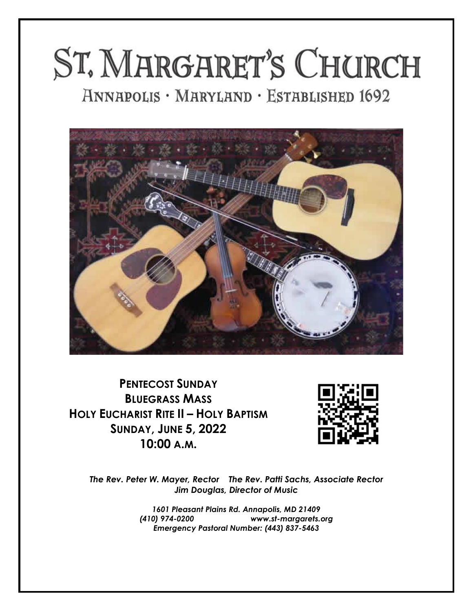# ST. MARGARET'S CHURCH ANNAPOLIS · MARYLAND · ESTABLISHED 1692



**PENTECOST SUNDAY BLUEGRASS MASS HOLY EUCHARIST RITE II – HOLY BAPTISM SUNDAY, JUNE 5, 2022 10:00 A.M.**



*The Rev. Peter W. Mayer, Rector The Rev. Patti Sachs, Associate Rector Jim Douglas, Director of Music*

> *1601 Pleasant Plains Rd. Annapolis, MD 21409 (410) 974-0200 www.st-margarets.org Emergency Pastoral Number: (443) 837-5463*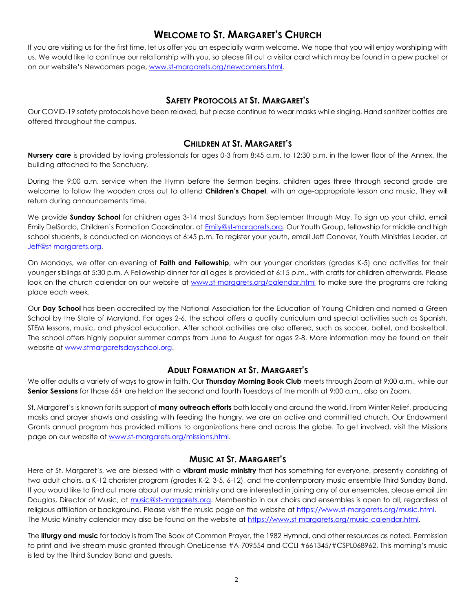### **WELCOME TO ST. MARGARET'S CHURCH**

If you are visiting us for the first time, let us offer you an especially warm welcome. We hope that you will enjoy worshiping with us. We would like to continue our relationship with you, so please fill out a visitor card which may be found in a pew packet or on our website's Newcomers page, [www.st-margarets.org/newcomers.html.](http://www.st-margarets.org/newcomers.html)

#### **SAFETY PROTOCOLS AT ST. MARGARET'S**

Our COVID-19 safety protocols have been relaxed, but please continue to wear masks while singing. Hand sanitizer bottles are offered throughout the campus.

#### **CHILDREN AT ST. MARGARET'S**

**Nursery care** is provided by loving professionals for ages 0-3 from 8:45 a.m. to 12:30 p.m. in the lower floor of the Annex, the building attached to the Sanctuary.

During the 9:00 a.m. service when the Hymn before the Sermon begins, children ages three through second grade are welcome to follow the wooden cross out to attend **Children's Chapel**, with an age-appropriate lesson and music. They will return during announcements time.

We provide **Sunday School** for children ages 3-14 most Sundays from September through May. To sign up your child, email Emily DelSordo, Children's Formation Coordinator, at **[Emily@st-margarets.org.](mailto:Emily@st-margarets.org)** Our Youth Group, fellowship for middle and high school students, is conducted on Mondays at 6:45 p.m. To register your youth, email Jeff Conover, Youth Ministries Leader, at [Jeff@st-margarets.org.](mailto:Jeff@st-margarets.org)

On Mondays, we offer an evening of **Faith and Fellowship**, with our younger choristers (grades K-5) and activities for their younger siblings at 5:30 p.m. A Fellowship dinner for all ages is provided at 6:15 p.m., with crafts for children afterwards. Please look on the church calendar on our website at [www.st-margarets.org/calendar.html](http://www.st-margarets.org/calendar.html) to make sure the programs are taking place each week.

Our **Day School** has been accredited by the National Association for the Education of Young Children and named a Green School by the State of Maryland. For ages 2-6, the school offers a quality curriculum and special activities such as Spanish, STEM lessons, music, and physical education. After school activities are also offered, such as soccer, ballet, and basketball. The school offers highly popular summer camps from June to August for ages 2-8. More information may be found on their website at [www.stmargaretsdayschool.org.](http://www.stmargaretsdayschool.org/)

#### **ADULT FORMATION AT ST. MARGARET'S**

We offer adults a variety of ways to grow in faith. Our **Thursday Morning Book Club** meets through Zoom at 9:00 a.m., while our **Senior Sessions** for those 65+ are held on the second and fourth Tuesdays of the month at 9:00 a.m., also on Zoom.

St. Margaret's is known for its support of **many outreach efforts** both locally and around the world. From Winter Relief, producing masks and prayer shawls and assisting with feeding the hungry, we are an active and committed church. Our Endowment Grants annual program has provided millions to organizations here and across the globe. To get involved, visit the Missions page on our website at [www.st-margarets.org/missions.html.](http://www.st-margarets.org/missions.html)

#### **MUSIC AT ST. MARGARET'S**

Here at St. Margaret's, we are blessed with a **vibrant music ministry** that has something for everyone, presently consisting of two adult choirs, a K-12 chorister program (grades K-2, 3-5, 6-12), and the contemporary music ensemble Third Sunday Band. If you would like to find out more about our music ministry and are interested in joining any of our ensembles, please email Jim Douglas, Director of Music, at [music@st-margarets.org.](mailto:music@st-margarets.org) Membership in our choirs and ensembles is open to all, regardless of religious affiliation or background. Please visit the music page on the website at [https://www.st-margarets.org/music.html.](https://www.st-margarets.org/music.html) The Music Ministry calendar may also be found on the website a[t https://www.st-margarets.org/music-calendar.html.](https://www.st-margarets.org/music-calendar.html)

The **liturgy and music** for today is from The Book of Common Prayer, the 1982 Hymnal, and other resources as noted. Permission to print and live-stream music granted through OneLicense #A-709554 and CCLI #661345/#CSPL068962. This morning's music is led by the Third Sunday Band and guests.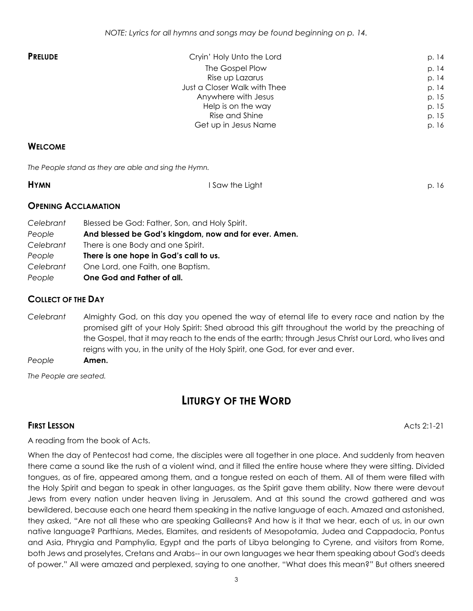| <b>PRELUDE</b>                                       | Cryin' Holy Unto the Lord    | p. 14 |
|------------------------------------------------------|------------------------------|-------|
|                                                      | The Gospel Plow              | p. 14 |
|                                                      | Rise up Lazarus              | p. 14 |
|                                                      | Just a Closer Walk with Thee | p. 14 |
|                                                      | Anywhere with Jesus          | p. 15 |
|                                                      | Help is on the way           | p. 15 |
|                                                      | Rise and Shine               | p. 15 |
|                                                      | Get up in Jesus Name         | p. 16 |
| <b>WELCOME</b>                                       |                              |       |
| The People stand as they are able and sing the Hymn. |                              |       |

| <b>HYMN</b>                | I Saw the Light                                                                                        | p. 16 |
|----------------------------|--------------------------------------------------------------------------------------------------------|-------|
| <b>OPENING ACCLAMATION</b> |                                                                                                        |       |
| Celebrant<br>People        | Blessed be God: Father, Son, and Holy Spirit.<br>And blessed be God's kingdom, now and for ever. Amen. |       |

*Celebrant* There is one Body and one Spirit.

- *People* **There is one hope in God's call to us.**
- *Celebrant* One Lord, one Faith, one Baptism.
- *People* **One God and Father of all.**

#### **COLLECT OF THE DAY**

- *Celebrant* Almighty God, on this day you opened the way of eternal life to every race and nation by the promised gift of your Holy Spirit: Shed abroad this gift throughout the world by the preaching of the Gospel, that it may reach to the ends of the earth; through Jesus Christ our Lord, who lives and reigns with you, in the unity of the Holy Spirit, one God, for ever and ever.
- *People* **Amen.**

*The People are seated.*

### **LITURGY OF THE WORD**

#### **FIRST LESSON** Acts 2:1-21

A reading from the book of Acts.

When the day of Pentecost had come, the disciples were all together in one place. And suddenly from heaven there came a sound like the rush of a violent wind, and it filled the entire house where they were sitting. Divided tongues, as of fire, appeared among them, and a tongue rested on each of them. All of them were filled with the Holy Spirit and began to speak in other languages, as the Spirit gave them ability. Now there were devout Jews from every nation under heaven living in Jerusalem. And at this sound the crowd gathered and was bewildered, because each one heard them speaking in the native language of each. Amazed and astonished, they asked, "Are not all these who are speaking Galileans? And how is it that we hear, each of us, in our own native language? Parthians, Medes, Elamites, and residents of Mesopotamia, Judea and Cappadocia, Pontus and Asia, Phrygia and Pamphylia, Egypt and the parts of Libya belonging to Cyrene, and visitors from Rome, both Jews and proselytes, Cretans and Arabs-- in our own languages we hear them speaking about God's deeds of power." All were amazed and perplexed, saying to one another, "What does this mean?" But others sneered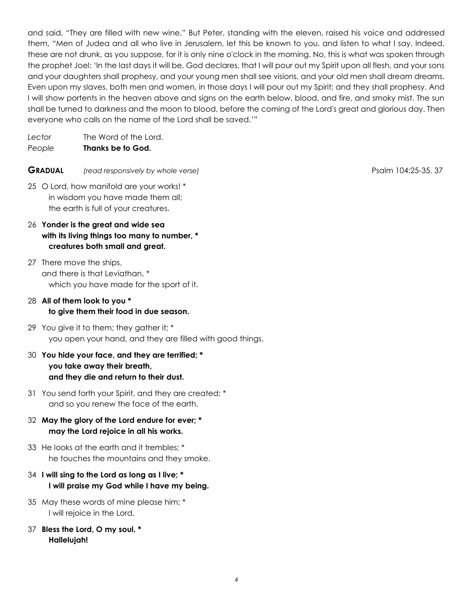and said, "They are filled with new wine." But Peter, standing with the eleven, raised his voice and addressed them, "Men of Judea and all who live in Jerusalem, let this be known to you, and listen to what I say. Indeed, these are not drunk, as you suppose, for it is only nine o'clock in the morning. No, this is what was spoken through the prophet Joel: 'In the last days it will be, God declares, that I will pour out my Spirit upon all flesh, and your sons and your daughters shall prophesy, and your young men shall see visions, and your old men shall dream dreams. Even upon my slaves, both men and women, in those days I will pour out my Spirit; and they shall prophesy. And I will show portents in the heaven above and signs on the earth below, blood, and fire, and smoky mist. The sun shall be turned to darkness and the moon to blood, before the coming of the Lord's great and glorious day. Then everyone who calls on the name of the Lord shall be saved.'"

*Lector* The Word of the Lord. *People* **Thanks be to God.**

#### **GRADUAL** *(read responsively by whole verse)* **Psalm 104:25-35, 37**

- 25 O Lord, how manifold are your works! \* in wisdom you have made them all; the earth is full of your creatures.
- 26 **Yonder is the great and wide sea with its living things too many to number, \* creatures both small and great.**
- 27 There move the ships, and there is that Leviathan, \* which you have made for the sport of it.

#### 28 **All of them look to you \* to give them their food in due season.**

- 29 You give it to them; they gather it; \* you open your hand, and they are filled with good things.
- 30 **You hide your face, and they are terrified; \* you take away their breath, and they die and return to their dust.**
- 31 You send forth your Spirit, and they are created; \* and so you renew the face of the earth.
- 32 **May the glory of the Lord endure for ever; \* may the Lord rejoice in all his works.**
- 33 He looks at the earth and it trembles; \* he touches the mountains and they smoke.
- 34 **I will sing to the Lord as long as I live; \* I will praise my God while I have my being.**
- 35 May these words of mine please him; \* I will rejoice in the Lord.
- 37 **Bless the Lord, O my soul. \* Hallelujah!**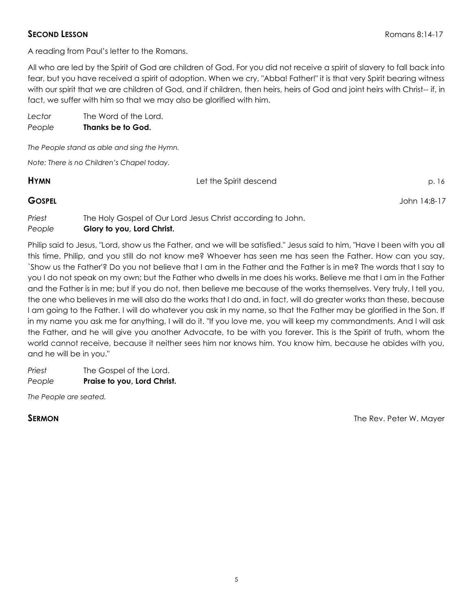#### **SECOND LESSON** Romans 8:14-17

A reading from Paul's letter to the Romans.

All who are led by the Spirit of God are children of God. For you did not receive a spirit of slavery to fall back into fear, but you have received a spirit of adoption. When we cry, "Abba! Father!" it is that very Spirit bearing witness with our spirit that we are children of God, and if children, then heirs, heirs of God and joint heirs with Christ-- if, in fact, we suffer with him so that we may also be glorified with him.

*Lector* The Word of the Lord. *People* **Thanks be to God.**

*The People stand as able and sing the Hymn.*

*Note: There is no Children's Chapel today.* 

**Let the Spirit descend p. 16 p. 16 p. 16 p. 16 p. 16 p. 16 p. 16 p. 16 p. 16 p. 16 p. 16 p. 16 p. 16 p. 16 p. 16 p. 16 p. 16 p. 16 p. 16 p. 16 p. 16 p. 16 p. 16 p. 16 p. 16 p. 16 p. 16 p. 16 p. 16 p. 17 p. 17 p. 17 p. 17** 

**GOSPEL** John 14:8-17

*Priest* The Holy Gospel of Our Lord Jesus Christ according to John. *People* **Glory to you, Lord Christ.**

Philip said to Jesus, "Lord, show us the Father, and we will be satisfied." Jesus said to him, "Have I been with you all this time, Philip, and you still do not know me? Whoever has seen me has seen the Father. How can you say, `Show us the Father'? Do you not believe that I am in the Father and the Father is in me? The words that I say to you I do not speak on my own; but the Father who dwells in me does his works. Believe me that I am in the Father and the Father is in me; but if you do not, then believe me because of the works themselves. Very truly, I tell you, the one who believes in me will also do the works that I do and, in fact, will do greater works than these, because I am going to the Father. I will do whatever you ask in my name, so that the Father may be glorified in the Son. If in my name you ask me for anything, I will do it. "If you love me, you will keep my commandments. And I will ask the Father, and he will give you another Advocate, to be with you forever. This is the Spirit of truth, whom the world cannot receive, because it neither sees him nor knows him. You know him, because he abides with you, and he will be in you."

**Priest** The Gospel of the Lord.

*People* **Praise to you, Lord Christ.**

*The People are seated.*

**SERMON** The Rev. Peter W. Mayer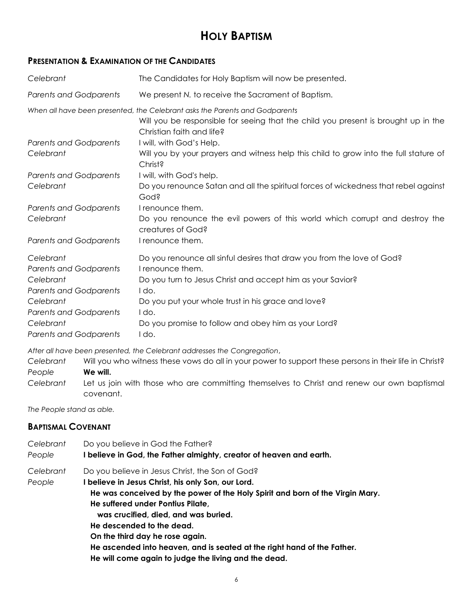### **HOLY BAPTISM**

#### **PRESENTATION & EXAMINATION OF THE CANDIDATES**

| Celebrant                                               | The Candidates for Holy Baptism will now be presented.                                                                                                                                         |
|---------------------------------------------------------|------------------------------------------------------------------------------------------------------------------------------------------------------------------------------------------------|
| <b>Parents and Godparents</b>                           | We present N. to receive the Sacrament of Baptism.                                                                                                                                             |
|                                                         | When all have been presented, the Celebrant asks the Parents and Godparents<br>Will you be responsible for seeing that the child you present is brought up in the<br>Christian faith and life? |
| <b>Parents and Godparents</b><br>Celebrant              | I will, with God's Help.<br>Will you by your prayers and witness help this child to grow into the full stature of<br>Christ?                                                                   |
| <b>Parents and Godparents</b>                           | I will, with God's help.                                                                                                                                                                       |
| Celebrant                                               | Do you renounce Satan and all the spiritual forces of wickedness that rebel against<br>God?                                                                                                    |
| <b>Parents and Godparents</b><br>Celebrant              | I renounce them.<br>Do you renounce the evil powers of this world which corrupt and destroy the<br>creatures of God?                                                                           |
| <b>Parents and Godparents</b>                           | I renounce them.                                                                                                                                                                               |
| Celebrant<br><b>Parents and Godparents</b><br>Celebrant | Do you renounce all sinful desires that draw you from the love of God?<br>I renounce them.<br>Do you turn to Jesus Christ and accept him as your Savior?                                       |
| <b>Parents and Godparents</b>                           | I do.                                                                                                                                                                                          |
| Celebrant                                               | Do you put your whole trust in his grace and love?                                                                                                                                             |
| <b>Parents and Godparents</b>                           | I do.                                                                                                                                                                                          |
| Celebrant                                               | Do you promise to follow and obey him as your Lord?                                                                                                                                            |
| Parents and Godparents                                  | I do.                                                                                                                                                                                          |

*After all have been presented, the Celebrant addresses the Congregation*,

*Celebrant* Will you who witness these vows do all in your power to support these persons in their life in Christ? *People* **We will.**

*Celebrant* Let us join with those who are committing themselves to Christ and renew our own baptismal covenant.

*The People stand as able.*

#### **BAPTISMAL COVENANT**

*Celebrant* Do you believe in God the Father? *People* **I believe in God, the Father almighty, creator of heaven and earth.** *Celebrant* Do you believe in Jesus Christ, the Son of God? *People* **I believe in Jesus Christ, his only Son, our Lord. He was conceived by the power of the Holy Spirit and born of the Virgin Mary. He suffered under Pontius Pilate, was crucified, died, and was buried. He descended to the dead. On the third day he rose again. He ascended into heaven, and is seated at the right hand of the Father. He will come again to judge the living and the dead.**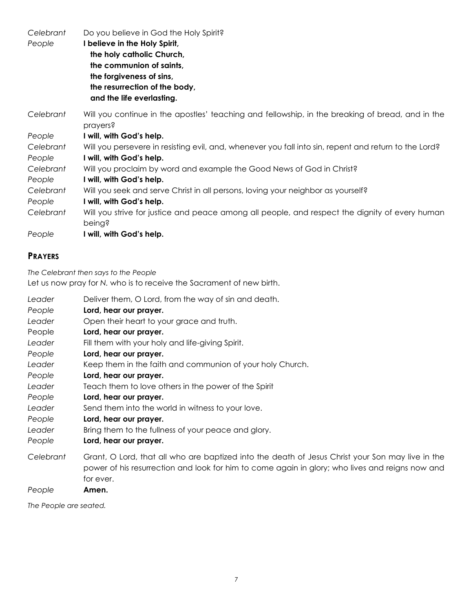| Celebrant | Do you believe in God the Holy Spirit?                                                                       |  |
|-----------|--------------------------------------------------------------------------------------------------------------|--|
| People    | I believe in the Holy Spirit,                                                                                |  |
|           | the holy catholic Church,                                                                                    |  |
|           | the communion of saints,                                                                                     |  |
|           | the forgiveness of sins,                                                                                     |  |
|           | the resurrection of the body,                                                                                |  |
|           | and the life everlasting.                                                                                    |  |
| Celebrant | Will you continue in the apostles' teaching and fellowship, in the breaking of bread, and in the<br>prayers? |  |
| People    | I will, with God's help.                                                                                     |  |
| Celebrant | Will you persevere in resisting evil, and, whenever you fall into sin, repent and return to the Lord?        |  |
| People    | I will, with God's help.                                                                                     |  |
| Celebrant | Will you proclaim by word and example the Good News of God in Christ?                                        |  |
| People    | I will, with God's help.                                                                                     |  |
| Celebrant | Will you seek and serve Christ in all persons, loving your neighbor as yourself?                             |  |
| People    | I will, with God's help.                                                                                     |  |
| Celebrant | Will you strive for justice and peace among all people, and respect the dignity of every human               |  |
|           | being?                                                                                                       |  |
| People    | I will, with God's help.                                                                                     |  |

#### **PRAYERS**

*The Celebrant then says to the People*

Let us now pray for *N.* who is to receive the Sacrament of new birth.

| Leader    | Deliver them, O Lord, from the way of sin and death.                                                                                                                                                             |
|-----------|------------------------------------------------------------------------------------------------------------------------------------------------------------------------------------------------------------------|
| People    | Lord, hear our prayer.                                                                                                                                                                                           |
| Leader    | Open their heart to your grace and truth.                                                                                                                                                                        |
| People    | Lord, hear our prayer.                                                                                                                                                                                           |
| Leader    | Fill them with your holy and life-giving Spirit.                                                                                                                                                                 |
| People    | Lord, hear our prayer.                                                                                                                                                                                           |
| Leader    | Keep them in the faith and communion of your holy Church.                                                                                                                                                        |
| People    | Lord, hear our prayer.                                                                                                                                                                                           |
| Leader    | Teach them to love others in the power of the Spirit                                                                                                                                                             |
| People    | Lord, hear our prayer.                                                                                                                                                                                           |
| Leader    | Send them into the world in witness to your love.                                                                                                                                                                |
| People    | Lord, hear our prayer.                                                                                                                                                                                           |
| Leader    | Bring them to the fullness of your peace and glory.                                                                                                                                                              |
| People    | Lord, hear our prayer.                                                                                                                                                                                           |
| Celebrant | Grant, O Lord, that all who are baptized into the death of Jesus Christ your Son may live in the<br>power of his resurrection and look for him to come again in glory; who lives and reigns now and<br>tor ever. |

*People* **Amen.**

*The People are seated.*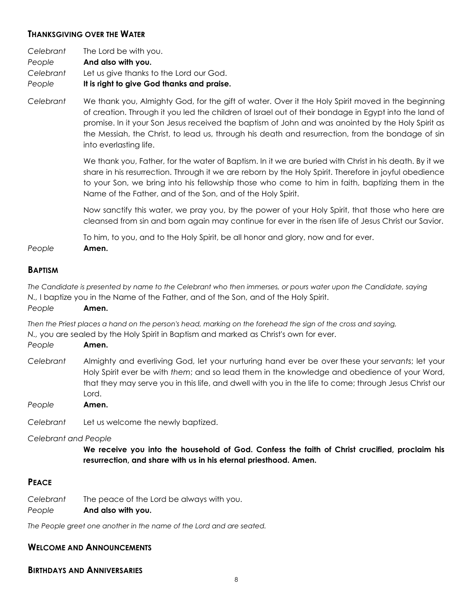#### **THANKSGIVING OVER THE WATER**

| Celebrant | The Lord be with you.                      |
|-----------|--------------------------------------------|
| People    | And also with you.                         |
| Celebrant | Let us give thanks to the Lord our God.    |
| People    | It is right to give God thanks and praise. |

*Celebrant* We thank you, Almighty God, for the gift of water. Over it the Holy Spirit moved in the beginning of creation. Through it you led the children of Israel out of their bondage in Egypt into the land of promise. In it your Son Jesus received the baptism of John and was anointed by the Holy Spirit as the Messiah, the Christ, to lead us, through his death and resurrection, from the bondage of sin into everlasting life.

> We thank you, Father, for the water of Baptism. In it we are buried with Christ in his death. By it we share in his resurrection. Through it we are reborn by the Holy Spirit. Therefore in joyful obedience to your Son, we bring into his fellowship those who come to him in faith, baptizing them in the Name of the Father, and of the Son, and of the Holy Spirit.

> Now sanctify this water, we pray you, by the power of your Holy Spirit, that those who here are cleansed from sin and born again may continue for ever in the risen life of Jesus Christ our Savior.

To him, to you, and to the Holy Spirit, be all honor and glory, now and for ever.

*People* **Amen.**

#### **BAPTISM**

*The Candidate is presented by name to the Celebrant who then immerses, or pours water upon the Candidate, saying N.,* I baptize you in the Name of the Father, and of the Son, and of the Holy Spirit.

*People* **Amen.**

*Then the Priest places a hand on the person's head, marking on the forehead the sign of the cross and saying, N.,* you are sealed by the Holy Spirit in Baptism and marked as Christ's own for ever.

*People* **Amen.**

- *Celebrant* Almighty and everliving God, let your nurturing hand ever be over these your *servants*; let your Holy Spirit ever be with *them*; and so lead them in the knowledge and obedience of your Word, that they may serve you in this life, and dwell with you in the life to come; through Jesus Christ our Lord.
- *People* **Amen.**

*Celebrant* Let us welcome the newly baptized.

*Celebrant and People*

**We receive you into the household of God. Confess the faith of Christ crucified, proclaim his resurrection, and share with us in his eternal priesthood. Amen.**

#### **PEACE**

- *Celebrant* The peace of the Lord be always with you.
- *People* **And also with you.**

*The People greet one another in the name of the Lord and are seated.*

#### **WELCOME AND ANNOUNCEMENTS**

#### **BIRTHDAYS AND ANNIVERSARIES**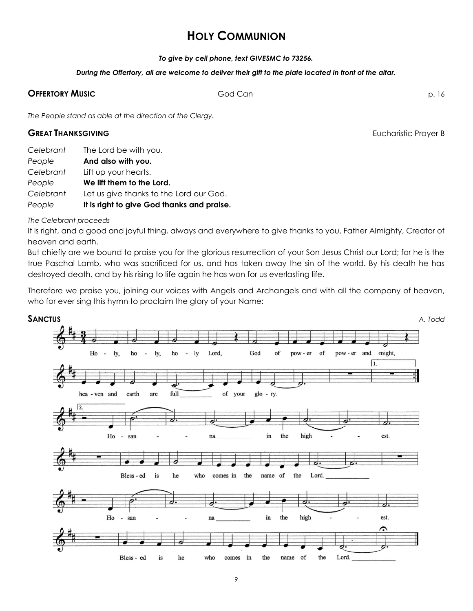### **HOLY COMMUNION**

*To give by cell phone, text GIVESMC to 73256.*

#### *During the Offertory, all are welcome to deliver their gift to the plate located in front of the altar.*

| <b>OFFERTORY MUSIC</b> | God Can | p. 16 |
|------------------------|---------|-------|
|                        |         |       |

*The People stand as able at the direction of the Clergy.*

#### **GREAT THANKSGIVING** Eucharistic Prayer B

| Celebrant | The Lord be with you.                      |
|-----------|--------------------------------------------|
| People    | And also with you.                         |
| Celebrant | Lift up your hearts.                       |
| People    | We lift them to the Lord.                  |
| Celebrant | Let us give thanks to the Lord our God.    |
| People    | It is right to give God thanks and praise. |

#### *The Celebrant proceeds*

It is right, and a good and joyful thing, always and everywhere to give thanks to you, Father Almighty, Creator of heaven and earth.

But chiefly are we bound to praise you for the glorious resurrection of your Son Jesus Christ our Lord; for he is the true Paschal Lamb, who was sacrificed for us, and has taken away the sin of the world. By his death he has destroyed death, and by his rising to life again he has won for us everlasting life.

Therefore we praise you, joining our voices with Angels and Archangels and with all the company of heaven, who for ever sing this hymn to proclaim the glory of your Name:

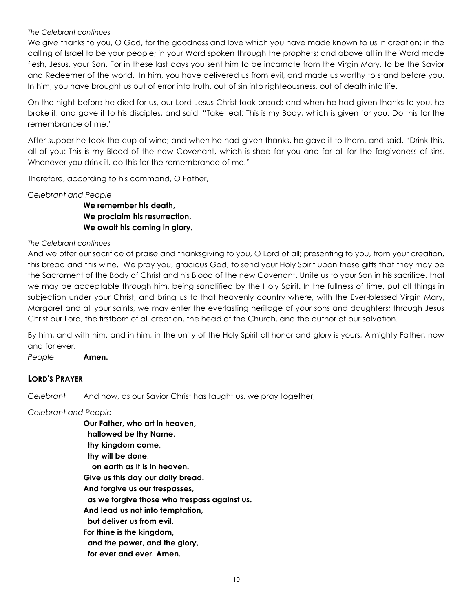#### *The Celebrant continues*

We give thanks to you, O God, for the goodness and love which you have made known to us in creation; in the calling of Israel to be your people; in your Word spoken through the prophets; and above all in the Word made flesh, Jesus, your Son. For in these last days you sent him to be incarnate from the Virgin Mary, to be the Savior and Redeemer of the world. In him, you have delivered us from evil, and made us worthy to stand before you. In him, you have brought us out of error into truth, out of sin into righteousness, out of death into life.

On the night before he died for us, our Lord Jesus Christ took bread; and when he had given thanks to you, he broke it, and gave it to his disciples, and said, "Take, eat: This is my Body, which is given for you. Do this for the remembrance of me."

After supper he took the cup of wine; and when he had given thanks, he gave it to them, and said, "Drink this, all of you: This is my Blood of the new Covenant, which is shed for you and for all for the forgiveness of sins. Whenever you drink it, do this for the remembrance of me."

Therefore, according to his command, O Father,

*Celebrant and People*

**We remember his death, We proclaim his resurrection, We await his coming in glory.**

#### *The Celebrant continues*

And we offer our sacrifice of praise and thanksgiving to you, O Lord of all; presenting to you, from your creation, this bread and this wine. We pray you, gracious God, to send your Holy Spirit upon these gifts that they may be the Sacrament of the Body of Christ and his Blood of the new Covenant. Unite us to your Son in his sacrifice, that we may be acceptable through him, being sanctified by the Holy Spirit. In the fullness of time, put all things in subjection under your Christ, and bring us to that heavenly country where, with the Ever-blessed Virgin Mary, Margaret and all your saints, we may enter the everlasting heritage of your sons and daughters; through Jesus Christ our Lord, the firstborn of all creation, the head of the Church, and the author of our salvation.

By him, and with him, and in him, in the unity of the Holy Spirit all honor and glory is yours, Almighty Father, now and for ever.

*People* **Amen.**

#### **LORD'S PRAYER**

*Celebrant* And now, as our Savior Christ has taught us, we pray together,

#### *Celebrant and People*

**Our Father, who art in heaven, hallowed be thy Name, thy kingdom come, thy will be done, on earth as it is in heaven. Give us this day our daily bread. And forgive us our trespasses, as we forgive those who trespass against us. And lead us not into temptation, but deliver us from evil. For thine is the kingdom, and the power, and the glory, for ever and ever. Amen.**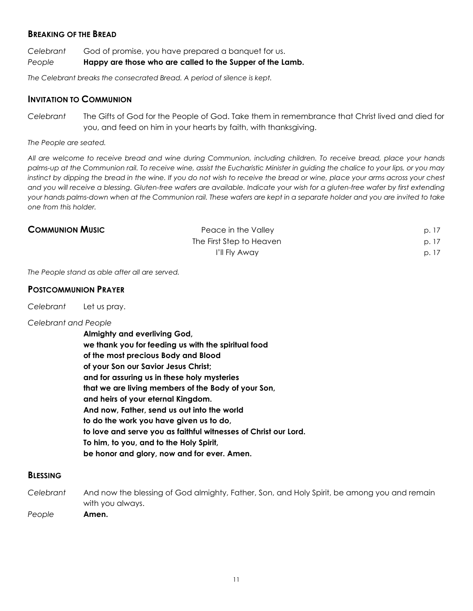#### **BREAKING OF THE BREAD**

*Celebrant* God of promise, you have prepared a banquet for us.

*People* **Happy are those who are called to the Supper of the Lamb.**

*The Celebrant breaks the consecrated Bread. A period of silence is kept.*

#### **INVITATION TO COMMUNION**

*Celebrant* The Gifts of God for the People of God. Take them in remembrance that Christ lived and died for you, and feed on him in your hearts by faith, with thanksgiving.

*The People are seated.* 

*All are welcome to receive bread and wine during Communion, including children. To receive bread, place your hands palms-up at the Communion rail. To receive wine, assist the Eucharistic Minister in guiding the chalice to your lips, or you may instinct by dipping the bread in the wine. If you do not wish to receive the bread or wine, place your arms across your chest and you will receive a blessing. Gluten-free wafers are available. Indicate your wish for a gluten-free wafer by first extending your hands palms-down when at the Communion rail. These wafers are kept in a separate holder and you are invited to take one from this holder.*

| <b>COMMUNION MUSIC</b> | Peace in the Valley      | p. 17 |
|------------------------|--------------------------|-------|
|                        | The First Step to Heaven | p. 17 |
|                        | I'll Flv Awav            | p. 17 |

*The People stand as able after all are served.*

#### **POSTCOMMUNION PRAYER**

*Celebrant* Let us pray.

#### *Celebrant and People*

**Almighty and everliving God, we thank you for feeding us with the spiritual food of the most precious Body and Blood of your Son our Savior Jesus Christ; and for assuring us in these holy mysteries that we are living members of the Body of your Son, and heirs of your eternal Kingdom. And now, Father, send us out into the world to do the work you have given us to do, to love and serve you as faithful witnesses of Christ our Lord. To him, to you, and to the Holy Spirit, be honor and glory, now and for ever. Amen.**

#### **BLESSING**

*Celebrant* And now the blessing of God almighty, Father, Son, and Holy Spirit, be among you and remain with you always.

*People* **Amen.**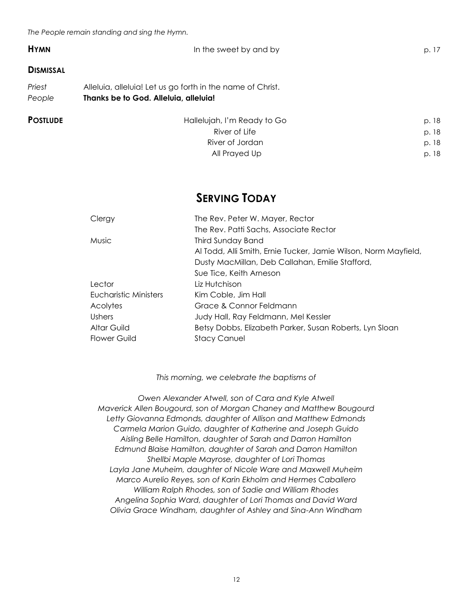| <b>HYMN</b>      | In the sweet by and by                                                                              | p. 17 |
|------------------|-----------------------------------------------------------------------------------------------------|-------|
| <b>DISMISSAL</b> |                                                                                                     |       |
| Priest<br>People | Alleluia, alleluia! Let us go forth in the name of Christ.<br>Thanks be to God. Alleluia, alleluia! |       |
| <b>POSTLUDE</b>  | Hallelujah, I'm Ready to Go                                                                         | p. 18 |
|                  | River of Life                                                                                       | p. 18 |
|                  | River of Jordan                                                                                     | p. 18 |
|                  | All Prayed Up                                                                                       | p. 18 |

### **SERVING TODAY**

| Clergy                | The Rev. Peter W. Mayer, Rector                                 |
|-----------------------|-----------------------------------------------------------------|
|                       | The Rev. Patti Sachs, Associate Rector                          |
| Music                 | Third Sunday Band                                               |
|                       | Al Todd, Alli Smith, Ernie Tucker, Jamie Wilson, Norm Mayfield, |
|                       | Dusty MacMillan, Deb Callahan, Emilie Stafford,                 |
|                       | Sue Tice, Keith Arneson                                         |
| Lector                | Liz Hutchison                                                   |
| Eucharistic Ministers | Kim Coble, Jim Hall                                             |
| Acolytes              | Grace & Connor Feldmann                                         |
| <b>Ushers</b>         | Judy Hall, Ray Feldmann, Mel Kessler                            |
| Altar Guild           | Betsy Dobbs, Elizabeth Parker, Susan Roberts, Lyn Sloan         |
| Flower Guild          | <b>Stacy Canuel</b>                                             |

#### *This morning, we celebrate the baptisms of*

*Owen Alexander Atwell, son of Cara and Kyle Atwell Maverick Allen Bougourd, son of Morgan Chaney and Matthew Bougourd Letty Giovanna Edmonds, daughter of Allison and Matthew Edmonds Carmela Marion Guido, daughter of Katherine and Joseph Guido Aisling Belle Hamilton, daughter of Sarah and Darron Hamilton Edmund Blaise Hamilton, daughter of Sarah and Darron Hamilton Shellbi Maple Mayrose, daughter of Lori Thomas Layla Jane Muheim, daughter of Nicole Ware and Maxwell Muheim Marco Aurelio Reyes, son of Karin Ekholm and Hermes Caballero William Ralph Rhodes, son of Sadie and William Rhodes Angelina Sophia Ward, daughter of Lori Thomas and David Ward Olivia Grace Windham, daughter of Ashley and Sina-Ann Windham*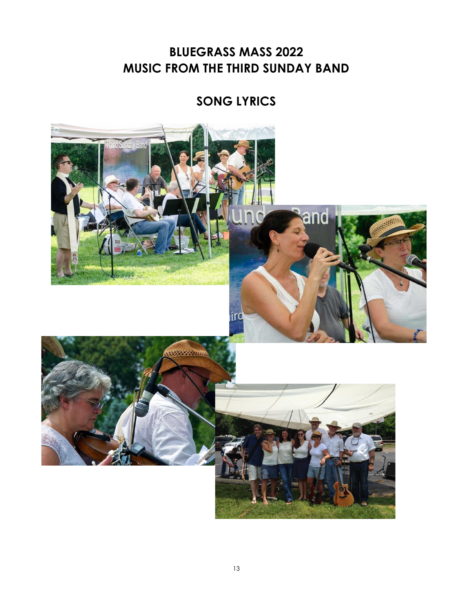### **BLUEGRASS MASS 2022 MUSIC FROM THE THIRD SUNDAY BAND**

## **SONG LYRICS**

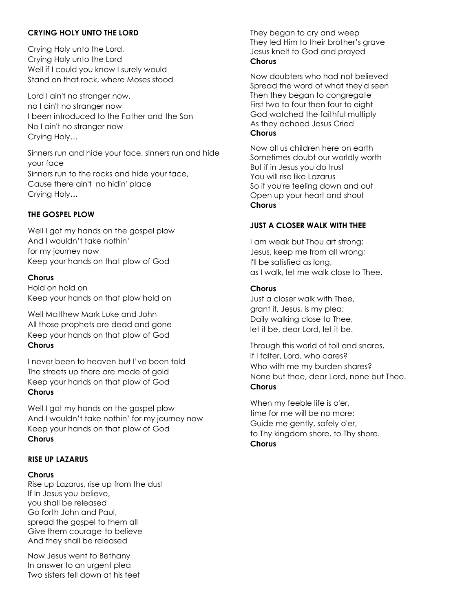#### **CRYING HOLY UNTO THE LORD**

Crying Holy unto the Lord, Crying Holy unto the Lord Well if I could you know I surely would Stand on that rock, where Moses stood

Lord I ain't no stranger now, no I ain't no stranger now I been introduced to the Father and the Son No I ain't no stranger now Crying Holy…

Sinners run and hide your face, sinners run and hide your face Sinners run to the rocks and hide your face, Cause there ain't no hidin' place Crying Holy**…**

#### **THE GOSPEL PLOW**

Well I got my hands on the gospel plow And I wouldn't take nothin' for my journey now Keep your hands on that plow of God

#### **Chorus**

Hold on hold on Keep your hands on that plow hold on

Well Matthew Mark Luke and John All those prophets are dead and gone Keep your hands on that plow of God **Chorus**

I never been to heaven but I've been told The streets up there are made of gold Keep your hands on that plow of God **Chorus** 

Well I got my hands on the gospel plow And I wouldn't take nothin' for my journey now Keep your hands on that plow of God **Chorus**

#### **RISE UP LAZARUS**

#### **Chorus**

Rise up Lazarus, rise up from the dust If In Jesus you believe, you shall be released Go forth John and Paul, spread the gospel to them all Give them courage to believe And they shall be released

Now Jesus went to Bethany In answer to an urgent plea Two sisters fell down at his feet They began to cry and weep They led Him to their brother's grave Jesus knelt to God and prayed **Chorus** 

Now doubters who had not believed Spread the word of what they'd seen Then they began to congregate First two to four then four to eight God watched the faithful multiply As they echoed Jesus Cried **Chorus** 

Now all us children here on earth Sometimes doubt our worldly worth But if in Jesus you do trust You will rise like Lazarus So if you're feeling down and out Open up your heart and shout **Chorus**

#### **JUST A CLOSER WALK WITH THEE**

I am weak but Thou art strong; Jesus, keep me from all wrong; I'll be satisfied as long, as I walk, let me walk close to Thee.

#### **Chorus**

Just a closer walk with Thee, grant it, Jesus, is my plea; Daily walking close to Thee, let it be, dear Lord, let it be.

Through this world of toil and snares, if I falter, Lord, who cares? Who with me my burden shares? None but thee, dear Lord, none but Thee. **Chorus**

When my feeble life is o'er, time for me will be no more; Guide me gently, safely o'er, to Thy kingdom shore, to Thy shore. **Chorus**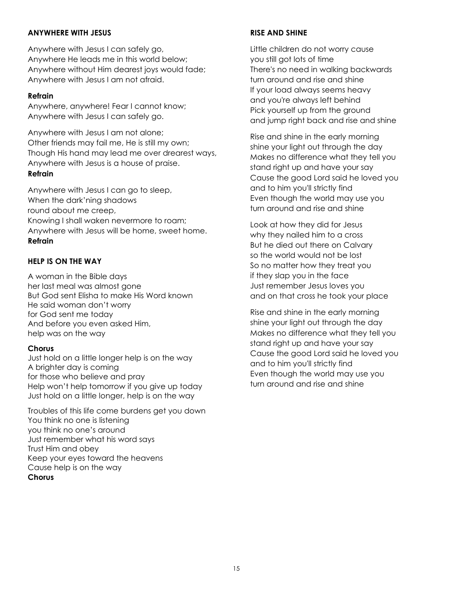#### **ANYWHERE WITH JESUS**

Anywhere with Jesus I can safely go, Anywhere He leads me in this world below; Anywhere without Him dearest joys would fade; Anywhere with Jesus I am not afraid.

#### **Refrain**

Anywhere, anywhere! Fear I cannot know; Anywhere with Jesus I can safely go.

Anywhere with Jesus I am not alone; Other friends may fail me, He is still my own; Though His hand may lead me over drearest ways, Anywhere with Jesus is a house of praise. **Refrain**

Anywhere with Jesus I can go to sleep, When the dark'ning shadows round about me creep, Knowing I shall waken nevermore to roam; Anywhere with Jesus will be home, sweet home. **Refrain**

#### **HELP IS ON THE WAY**

A woman in the Bible days her last meal was almost gone But God sent Elisha to make His Word known He said woman don't worry for God sent me today And before you even asked Him, help was on the way

#### **Chorus**

Just hold on a little longer help is on the way A brighter day is coming for those who believe and pray Help won't help tomorrow if you give up today Just hold on a little longer, help is on the way

Troubles of this life come burdens get you down You think no one is listening you think no one's around Just remember what his word says Trust Him and obey Keep your eyes toward the heavens Cause help is on the way **Chorus**

#### **RISE AND SHINE**

Little children do not worry cause you still got lots of time There's no need in walking backwards turn around and rise and shine If your load always seems heavy and you're always left behind Pick yourself up from the ground and jump right back and rise and shine

Rise and shine in the early morning shine your light out through the day Makes no difference what they tell you stand right up and have your say Cause the good Lord said he loved you and to him you'll strictly find Even though the world may use you turn around and rise and shine

Look at how they did for Jesus why they nailed him to a cross But he died out there on Calvary so the world would not be lost So no matter how they treat you if they slap you in the face Just remember Jesus loves you and on that cross he took your place

Rise and shine in the early morning shine your light out through the day Makes no difference what they tell you stand right up and have your say Cause the good Lord said he loved you and to him you'll strictly find Even though the world may use you turn around and rise and shine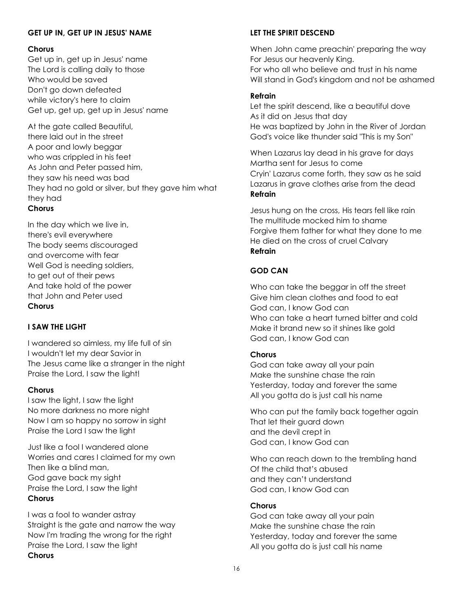#### **GET UP IN, GET UP IN JESUS' NAME**

#### **Chorus**

Get up in, get up in Jesus' name The Lord is calling daily to those Who would be saved Don't go down defeated while victory's here to claim Get up, get up, get up in Jesus' name

At the gate called Beautiful, there laid out in the street A poor and lowly beggar who was crippled in his feet As John and Peter passed him, they saw his need was bad They had no gold or silver, but they gave him what they had

#### **Chorus**

In the day which we live in, there's evil everywhere The body seems discouraged and overcome with fear Well God is needing soldiers, to get out of their pews And take hold of the power that John and Peter used **Chorus**

#### **I SAW THE LIGHT**

I wandered so aimless, my life full of sin I wouldn't let my dear Savior in The Jesus came like a stranger in the night Praise the Lord, I saw the light!

#### **Chorus**

I saw the light, I saw the light No more darkness no more night Now I am so happy no sorrow in sight Praise the Lord I saw the light

Just like a fool I wandered alone Worries and cares I claimed for my own Then like a blind man, God gave back my sight Praise the Lord, I saw the light **Chorus**

I was a fool to wander astray Straight is the gate and narrow the way Now I'm trading the wrong for the right Praise the Lord, I saw the light **Chorus**

#### **LET THE SPIRIT DESCEND**

When John came preachin' preparing the way For Jesus our heavenly King. For who all who believe and trust in his name Will stand in God's kingdom and not be ashamed

#### **Refrain**

Let the spirit descend, like a beautiful dove As it did on Jesus that day He was baptized by John in the River of Jordan God's voice like thunder said "This is my Son"

When Lazarus lay dead in his grave for days Martha sent for Jesus to come Cryin' Lazarus come forth, they saw as he said Lazarus in grave clothes arise from the dead **Refrain** 

Jesus hung on the cross, His tears fell like rain The multitude mocked him to shame Forgive them father for what they done to me He died on the cross of cruel Calvary **Refrain**

#### **GOD CAN**

Who can take the beggar in off the street Give him clean clothes and food to eat God can, I know God can Who can take a heart turned bitter and cold Make it brand new so it shines like gold God can, I know God can

#### **Chorus**

God can take away all your pain Make the sunshine chase the rain Yesterday, today and forever the same All you gotta do is just call his name

Who can put the family back together again That let their guard down and the devil crept in God can, I know God can

Who can reach down to the trembling hand Of the child that's abused and they can't understand God can, I know God can

#### **Chorus**

God can take away all your pain Make the sunshine chase the rain Yesterday, today and forever the same All you gotta do is just call his name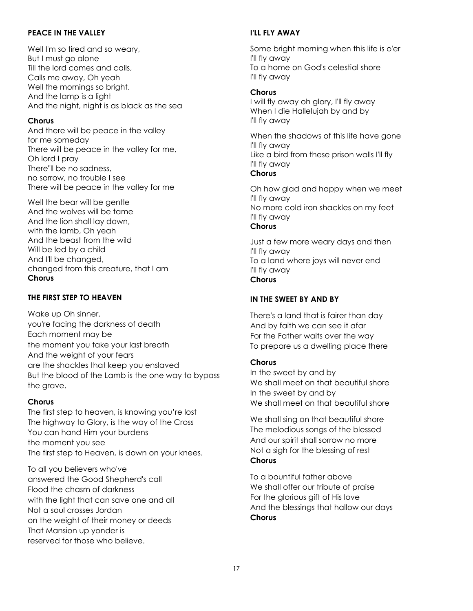#### **PEACE IN THE VALLEY**

Well I'm so tired and so weary, But I must go alone Till the lord comes and calls, Calls me away, Oh yeah Well the mornings so bright. And the lamp is a light And the night, night is as black as the sea

#### **Chorus**

And there will be peace in the valley for me someday There will be peace in the valley for me, Oh lord I pray There"ll be no sadness, no sorrow, no trouble I see There will be peace in the valley for me

Well the bear will be gentle And the wolves will be tame And the lion shall lay down, with the lamb, Oh yeah And the beast from the wild Will be led by a child And I'll be changed, changed from this creature, that I am **Chorus**

#### **THE FIRST STEP TO HEAVEN**

Wake up Oh sinner, you're facing the darkness of death Each moment may be the moment you take your last breath And the weight of your fears are the shackles that keep you enslaved But the blood of the Lamb is the one way to bypass the grave.

#### **Chorus**

The first step to heaven, is knowing you're lost The highway to Glory, is the way of the Cross You can hand Him your burdens the moment you see The first step to Heaven, is down on your knees.

To all you believers who've answered the Good Shepherd's call Flood the chasm of darkness with the light that can save one and all Not a soul crosses Jordan on the weight of their money or deeds That Mansion up yonder is reserved for those who believe.

#### **I'LL FLY AWAY**

Some bright morning when this life is o'er I'll fly away To a home on God's celestial shore I'll fly away

#### **Chorus**

I will fly away oh glory, I'll fly away When I die Hallelujah by and by I'll fly away

When the shadows of this life have gone I'll fly away Like a bird from these prison walls I'll fly I'll fly away **Chorus** 

Oh how glad and happy when we meet I'll fly away No more cold iron shackles on my feet I'll fly away **Chorus**

Just a few more weary days and then I'll fly away To a land where joys will never end I'll fly away **Chorus**

#### **IN THE SWEET BY AND BY**

There's a land that is fairer than day And by faith we can see it afar For the Father waits over the way To prepare us a dwelling place there

#### **Chorus**

In the sweet by and by We shall meet on that beautiful shore In the sweet by and by We shall meet on that beautiful shore

We shall sing on that beautiful shore The melodious songs of the blessed And our spirit shall sorrow no more Not a sigh for the blessing of rest **Chorus**

To a bountiful father above We shall offer our tribute of praise For the glorious gift of His love And the blessings that hallow our days **Chorus**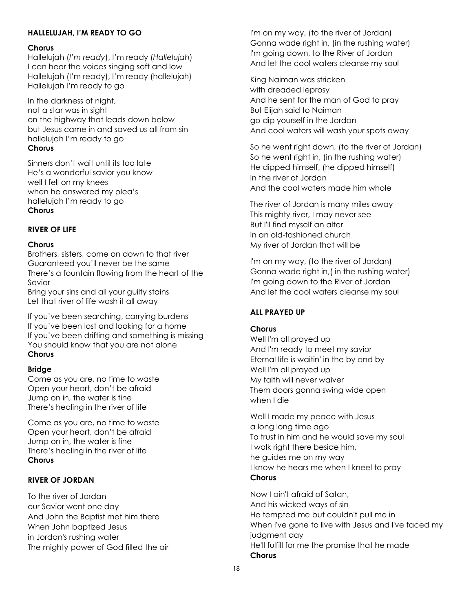#### **HALLELUJAH, I'M READY TO GO**

#### **Chorus**

Hallelujah (*I'm ready*), I'm ready (*Hallelujah*) I can hear the voices singing soft and low Hallelujah (I'm ready), I'm ready (hallelujah) Hallelujah I'm ready to go

In the darkness of night, not a star was in sight on the highway that leads down below but Jesus came in and saved us all from sin hallelujah I'm ready to go **Chorus**

Sinners don't wait until its too late He's a wonderful savior you know well I fell on my knees when he answered my plea's hallelujah I'm ready to go **Chorus** 

#### **RIVER OF LIFE**

#### **Chorus**

Brothers, sisters, come on down to that river Guaranteed you'll never be the same There's a fountain flowing from the heart of the Savior

Bring your sins and all your guilty stains Let that river of life wash it all away

If you've been searching, carrying burdens If you've been lost and looking for a home If you've been drifting and something is missing You should know that you are not alone **Chorus**

#### **Bridge**

Come as you are, no time to waste Open your heart, don't be afraid Jump on in, the water is fine There's healing in the river of life

Come as you are, no time to waste Open your heart, don't be afraid Jump on in, the water is fine There's healing in the river of life **Chorus**

#### **RIVER OF JORDAN**

To the river of Jordan our Savior went one day And John the Baptist met him there When John baptized Jesus in Jordan's rushing water The mighty power of God filled the air I'm on my way, (to the river of Jordan) Gonna wade right in, (in the rushing water) I'm going down, to the River of Jordan And let the cool waters cleanse my soul

King Naiman was stricken with dreaded leprosy And he sent for the man of God to pray But Elijah said to Naiman go dip yourself in the Jordan And cool waters will wash your spots away

So he went right down, (to the river of Jordan) So he went right in, (in the rushing water) He dipped himself, (he dipped himself) in the river of Jordan And the cool waters made him whole

The river of Jordan is many miles away This mighty river, I may never see But I'll find myself an alter in an old-fashioned church My river of Jordan that will be

I'm on my way, (to the river of Jordan) Gonna wade right in,( in the rushing water) I'm going down to the River of Jordan And let the cool waters cleanse my soul

#### **ALL PRAYED UP**

#### **Chorus**

Well I'm all prayed up And I'm ready to meet my savior Eternal life is waitin' in the by and by Well I'm all prayed up My faith will never waiver Them doors gonna swing wide open when I die

Well I made my peace with Jesus a long long time ago To trust in him and he would save my soul I walk right there beside him, he guides me on my way I know he hears me when I kneel to pray **Chorus**

Now I ain't afraid of Satan, And his wicked ways of sin He tempted me but couldn't pull me in When I've gone to live with Jesus and I've faced my judgment day He'll fulfill for me the promise that he made **Chorus**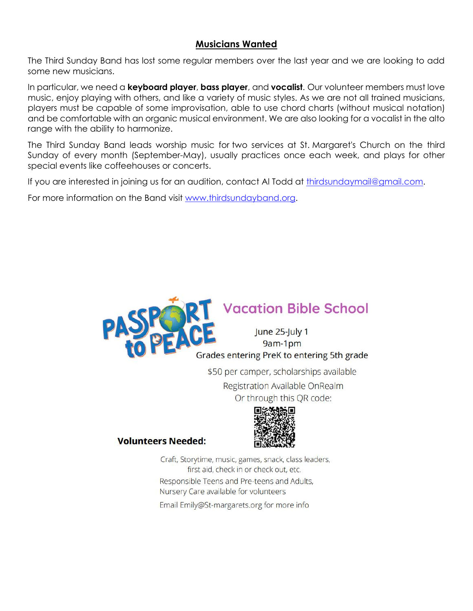### **Musicians Wanted**

The Third Sunday Band has lost some regular members over the last year and we are looking to add some new musicians.

In particular, we need a **keyboard player**, **bass player**, and **vocalist**. Our volunteer members must love music, enjoy playing with others, and like a variety of music styles. As we are not all trained musicians, players must be capable of some improvisation, able to use chord charts (without musical notation) and be comfortable with an organic musical environment. We are also looking for a vocalist in the alto range with the ability to harmonize.

The Third Sunday Band leads worship music for two services at St. Margaret's Church on the third Sunday of every month (September-May), usually practices once each week, and plays for other special events like coffeehouses or concerts.

If you are interested in joining us for an audition, contact AI Todd at [thirdsundaymail@gmail.com.](mailto:thirdsundaymail@gmail.com)

For more information on the Band visit [www.thirdsundayband.org.](http://www.thirdsundayband.org/)



# **Vacation Bible School**

June 25-July 1 9am-1pm Grades entering PreK to entering 5th grade

\$50 per camper, scholarships available Registration Available OnRealm Or through this QR code:



#### **Volunteers Needed:**

Craft, Storytime, music, games, snack, class leaders, first aid, check in or check out, etc. Responsible Teens and Pre-teens and Adults,

Nursery Care available for volunteers

Email Emily@St-margarets.org for more info